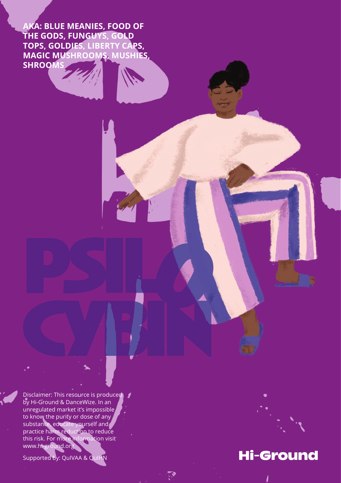**AKA: BLUE MEANIES, FOOD OF THE GODS, FUNGUYS, GOLD TOPS, GOLDIES, LIBERTY CAPS, MAGIC MUSHROOMS, MUSHIES, SHROOMS**

Disclaimer: This resource is produced by Hi-Ground & DanceWize. In an unregulated market it's impossible to know the purity or dose of any substance, educate yourself and practice harm reduction to reduce this risk. For more information visit www.hi-ground.org

Supported by: QuIVAA & QuIHN



# **Hi-Ground**